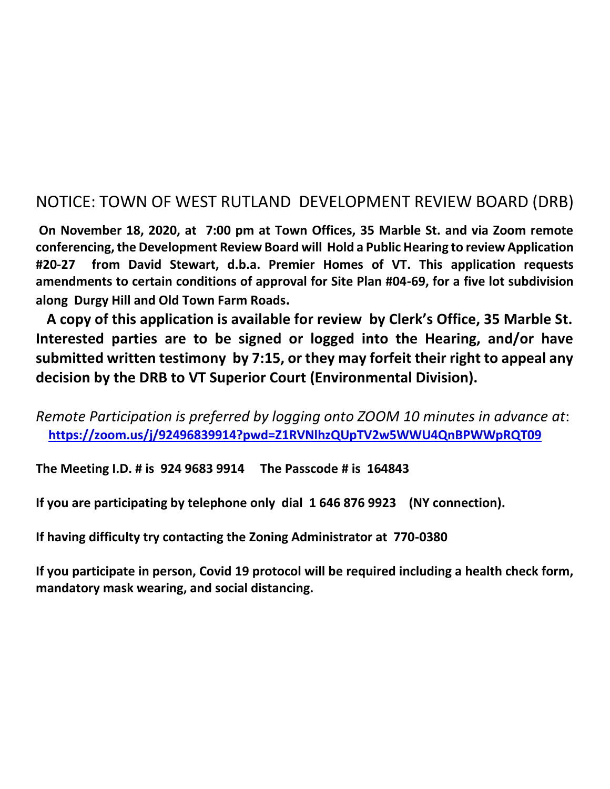## NOTICE: TOWN OF WEST RUTLAND DEVELOPMENT REVIEW BOARD (DRB)

 **On November 18, 2020, at 7:00 pm at Town Offices, 35 Marble St. and via Zoom remote conferencing, the Development Review Board will Hold a Public Hearing to review Application #20-27 from David Stewart, d.b.a. Premier Homes of VT. This application requests amendments to certain conditions of approval for Site Plan #04-69, for a five lot subdivision along Durgy Hill and Old Town Farm Roads.** 

 **A copy of this application is available for review by Clerk's Office, 35 Marble St. Interested parties are to be signed or logged into the Hearing, and/or have submitted written testimony by 7:15, or they may forfeit their right to appeal any decision by the DRB to VT Superior Court (Environmental Division).** 

*Remote Participation is preferred by logging onto ZOOM 10 minutes in advance at*:  **<https://zoom.us/j/92496839914?pwd=Z1RVNlhzQUpTV2w5WWU4QnBPWWpRQT09>**

**The Meeting I.D. # is 924 9683 9914 The Passcode # is 164843** 

**If you are participating by telephone only dial 1 646 876 9923 (NY connection).** 

**If having difficulty try contacting the Zoning Administrator at 770-0380**

**If you participate in person, Covid 19 protocol will be required including a health check form, mandatory mask wearing, and social distancing.**